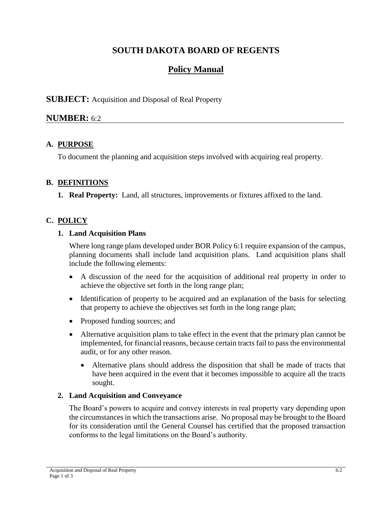# **SOUTH DAKOTA BOARD OF REGENTS**

# **Policy Manual**

## **SUBJECT:** Acquisition and Disposal of Real Property

## **NUMBER:** 6:2

## **A. PURPOSE**

To document the planning and acquisition steps involved with acquiring real property.

## **B. DEFINITIONS**

**1. Real Property:** Land, all structures, improvements or fixtures affixed to the land.

# **C. POLICY**

#### **1. Land Acquisition Plans**

Where long range plans developed under BOR Policy 6:1 require expansion of the campus, planning documents shall include land acquisition plans. Land acquisition plans shall include the following elements:

- A discussion of the need for the acquisition of additional real property in order to achieve the objective set forth in the long range plan;
- Identification of property to be acquired and an explanation of the basis for selecting that property to achieve the objectives set forth in the long range plan;
- Proposed funding sources; and
- Alternative acquisition plans to take effect in the event that the primary plan cannot be implemented, for financial reasons, because certain tracts fail to pass the environmental audit, or for any other reason.
	- Alternative plans should address the disposition that shall be made of tracts that have been acquired in the event that it becomes impossible to acquire all the tracts sought.

## **2. Land Acquisition and Conveyance**

The Board's powers to acquire and convey interests in real property vary depending upon the circumstances in which the transactions arise. No proposal may be brought to the Board for its consideration until the General Counsel has certified that the proposed transaction conforms to the legal limitations on the Board's authority.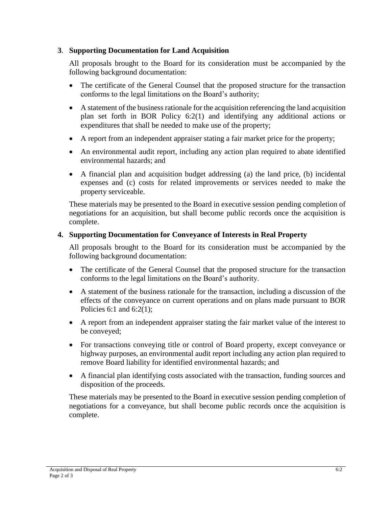#### **3**. **Supporting Documentation for Land Acquisition**

All proposals brought to the Board for its consideration must be accompanied by the following background documentation:

- The certificate of the General Counsel that the proposed structure for the transaction conforms to the legal limitations on the Board's authority;
- A statement of the business rationale for the acquisition referencing the land acquisition plan set forth in BOR Policy 6:2(1) and identifying any additional actions or expenditures that shall be needed to make use of the property;
- A report from an independent appraiser stating a fair market price for the property;
- An environmental audit report, including any action plan required to abate identified environmental hazards; and
- A financial plan and acquisition budget addressing (a) the land price, (b) incidental expenses and (c) costs for related improvements or services needed to make the property serviceable.

These materials may be presented to the Board in executive session pending completion of negotiations for an acquisition, but shall become public records once the acquisition is complete.

#### **4. Supporting Documentation for Conveyance of Interests in Real Property**

All proposals brought to the Board for its consideration must be accompanied by the following background documentation:

- The certificate of the General Counsel that the proposed structure for the transaction conforms to the legal limitations on the Board's authority.
- A statement of the business rationale for the transaction, including a discussion of the effects of the conveyance on current operations and on plans made pursuant to BOR Policies 6:1 and 6:2(1);
- A report from an independent appraiser stating the fair market value of the interest to be conveyed;
- For transactions conveying title or control of Board property, except conveyance or highway purposes, an environmental audit report including any action plan required to remove Board liability for identified environmental hazards; and
- A financial plan identifying costs associated with the transaction, funding sources and disposition of the proceeds.

These materials may be presented to the Board in executive session pending completion of negotiations for a conveyance, but shall become public records once the acquisition is complete.